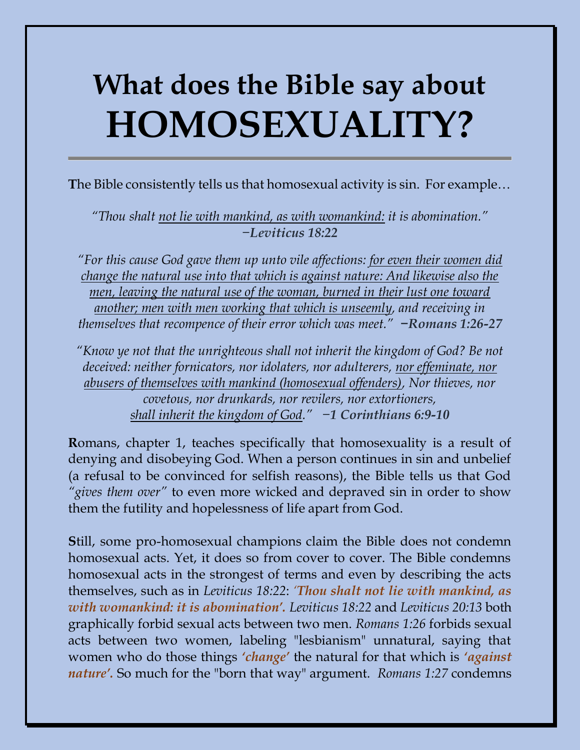## **What does the Bible say about HOMOSEXUALITY?**

**T**he Bible consistently tells us that homosexual activity is sin. For example…

*"Thou shalt not lie with mankind, as with womankind: it is abomination." −Leviticus 18:22*

*"For this cause God gave them up unto vile affections: for even their women did change the natural use into that which is against nature: And likewise also the men, leaving the natural use of the woman, burned in their lust one toward another; men with men working that which is unseemly, and receiving in themselves that recompence of their error which was meet." −Romans 1:26-27*

*"Know ye not that the unrighteous shall not inherit the kingdom of God? Be not deceived: neither fornicators, nor idolaters, nor adulterers, nor effeminate, nor abusers of themselves with mankind (homosexual offenders), Nor thieves, nor covetous, nor drunkards, nor revilers, nor extortioners, shall inherit the kingdom of God." −1 Corinthians 6:9-10*

**R**omans, chapter 1, teaches specifically that homosexuality is a result of denying and disobeying God. When a person continues in sin and unbelief (a refusal to be convinced for selfish reasons), the Bible tells us that God *"gives them over"* to even more wicked and depraved sin in order to show them the futility and hopelessness of life apart from God.

**S**till, some pro-homosexual champions claim the Bible does not condemn homosexual acts. Yet, it does so from cover to cover. The Bible condemns homosexual acts in the strongest of terms and even by describing the acts themselves, such as in *Leviticus 18:22*: *'Thou shalt not lie with mankind, as with womankind: it is abomination'. Leviticus 18:22* and *Leviticus 20:13* both graphically forbid sexual acts between two men. *Romans 1:26* forbids sexual acts between two women, labeling "lesbianism" unnatural, saying that women who do those things *'change'* the natural for that which is *'against nature'.* So much for the "born that way" argument. *Romans 1:27* condemns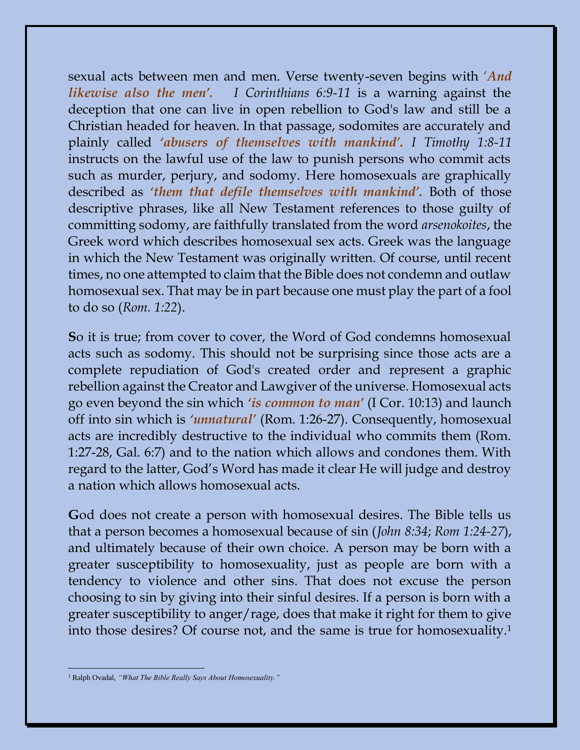sexual acts between men and men. Verse twenty-seven begins with '*And likewise also the men'. I Corinthians 6:9-11* is a warning against the deception that one can live in open rebellion to God's law and still be a Christian headed for heaven. In that passage, sodomites are accurately and plainly called *'abusers of themselves with mankind'. I Timothy 1:8-11* instructs on the lawful use of the law to punish persons who commit acts such as murder, perjury, and sodomy. Here homosexuals are graphically described as *'them that defile themselves with mankind'.* Both of those descriptive phrases, like all New Testament references to those guilty of committing sodomy, are faithfully translated from the word *arsenokoites*, the Greek word which describes homosexual sex acts. Greek was the language in which the New Testament was originally written. Of course, until recent times, no one attempted to claim that the Bible does not condemn and outlaw homosexual sex. That may be in part because one must play the part of a fool to do so (*Rom. 1:22*).

**S**o it is true; from cover to cover, the Word of God condemns homosexual acts such as sodomy. This should not be surprising since those acts are a complete repudiation of God's created order and represent a graphic rebellion against the Creator and Lawgiver of the universe. Homosexual acts go even beyond the sin which *'is common to man'* (I Cor. 10:13) and launch off into sin which is *'unnatural'* (Rom. 1:26-27). Consequently, homosexual acts are incredibly destructive to the individual who commits them (Rom. 1:27-28, Gal. 6:7) and to the nation which allows and condones them. With regard to the latter, God's Word has made it clear He will judge and destroy a nation which allows homosexual acts.

**G**od does not create a person with homosexual desires. The Bible tells us that a person becomes a homosexual because of sin (*John 8:34*; *[Rom 1:24-27](http://bible.logos.com/passage/niv/Romans%201.24-27)*), and ultimately because of their own choice. A person may be born with a greater susceptibility to homosexuality, just as people are born with a tendency to violence and other sins. That does not excuse the person choosing to sin by giving into their sinful desires. If a person is born with a greater susceptibility to anger/rage, does that make it right for them to give into those desires? Of course not, and the same is true for homosexuality.<sup>1</sup>

<sup>&</sup>lt;sup>1</sup> Ralph Ovadal, "What The Bible Really Says About Homosexuality."